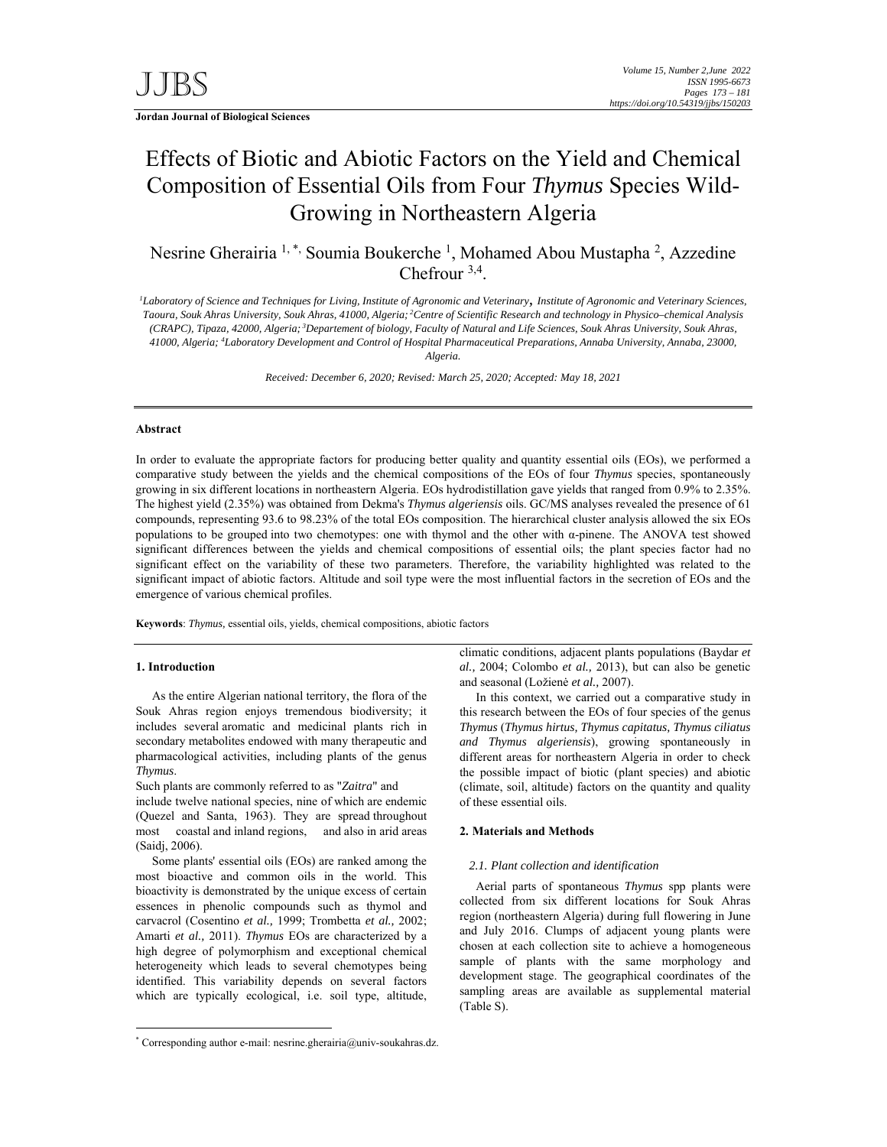**Jordan Journal of Biological Sciences** 

# Effects of Biotic and Abiotic Factors on the Yield and Chemical Composition of Essential Oils from Four *Thymus* Species Wild-Growing in Northeastern Algeria

Nesrine Gherairia <sup>1,\*,</sup> Soumia Boukerche <sup>1</sup>, Mohamed Abou Mustapha <sup>2</sup>, Azzedine Chefrour 3,4.

*1 Laboratory of Science and Techniques for Living, Institute of Agronomic and Veterinary, Institute of Agronomic and Veterinary Sciences, Taoura, Souk Ahras University, Souk Ahras, 41000, Algeria; 2Centre of Scientific Research and technology in Physico–chemical Analysis (CRAPC), Tipaza, 42000, Algeria; 3Departement of biology, Faculty of Natural and Life Sciences, Souk Ahras University, Souk Ahras, 41000, Algeria; 4 Laboratory Development and Control of Hospital Pharmaceutical Preparations, Annaba University, Annaba, 23000, Algeria.* 

*Received: December 6, 2020; Revised: March 25, 2020; Accepted: May 18, 2021*

# **Abstract**

In order to evaluate the appropriate factors for producing better quality and quantity essential oils (EOs), we performed a comparative study between the yields and the chemical compositions of the EOs of four *Thymus* species, spontaneously growing in six different locations in northeastern Algeria. EOs hydrodistillation gave yields that ranged from 0.9% to 2.35%. The highest yield (2.35%) was obtained from Dekma's *Thymus algeriensis* oils. GC/MS analyses revealed the presence of 61 compounds, representing 93.6 to 98.23% of the total EOs composition. The hierarchical cluster analysis allowed the six EOs populations to be grouped into two chemotypes: one with thymol and the other with α-pinene. The ANOVA test showed significant differences between the yields and chemical compositions of essential oils; the plant species factor had no significant effect on the variability of these two parameters. Therefore, the variability highlighted was related to the significant impact of abiotic factors. Altitude and soil type were the most influential factors in the secretion of EOs and the emergence of various chemical profiles.

**Keywords**: *Thymus,* essential oils, yields, chemical compositions, abiotic factors

### **1. Introduction**

-

As the entire Algerian national territory, the flora of the Souk Ahras region enjoys tremendous biodiversity; it includes several aromatic and medicinal plants rich in secondary metabolites endowed with many therapeutic and pharmacological activities, including plants of the genus *Thymus*.

Such plants are commonly referred to as "*Zaitra*" and

include twelve national species, nine of which are endemic (Quezel and Santa, 1963). They are spread throughout most coastal and inland regions, and also in arid areas (Saidj, 2006).

Some plants' essential oils (EOs) are ranked among the most bioactive and common oils in the world. This bioactivity is demonstrated by the unique excess of certain essences in phenolic compounds such as thymol and carvacrol (Cosentino *et al.,* 1999; Trombetta *et al.,* 2002; Amarti *et al.,* 2011). *Thymus* EOs are characterized by a high degree of polymorphism and exceptional chemical heterogeneity which leads to several chemotypes being identified. This variability depends on several factors which are typically ecological, i.e. soil type, altitude,

In this context, we carried out a comparative study in this research between the EOs of four species of the genus *Thymus* (*Thymus hirtus, Thymus capitatus, Thymus ciliatus and Thymus algeriensis*), growing spontaneously in different areas for northeastern Algeria in order to check the possible impact of biotic (plant species) and abiotic (climate, soil, altitude) factors on the quantity and quality of these essential oils.

# **2. Materials and Methods**

#### *2.1. Plant collection and identification*

Aerial parts of spontaneous *Thymus* spp plants were collected from six different locations for Souk Ahras region (northeastern Algeria) during full flowering in June and July 2016. Clumps of adjacent young plants were chosen at each collection site to achieve a homogeneous sample of plants with the same morphology and development stage. The geographical coordinates of the sampling areas are available as supplemental material (Table S).

climatic conditions, adjacent plants populations (Baydar *et al.,* 2004; Colombo *et al.,* 2013), but can also be genetic and seasonal (Ložienė *et al.,* 2007).

<sup>\*</sup> Corresponding author e-mail: nesrine.gherairia@univ-soukahras.dz.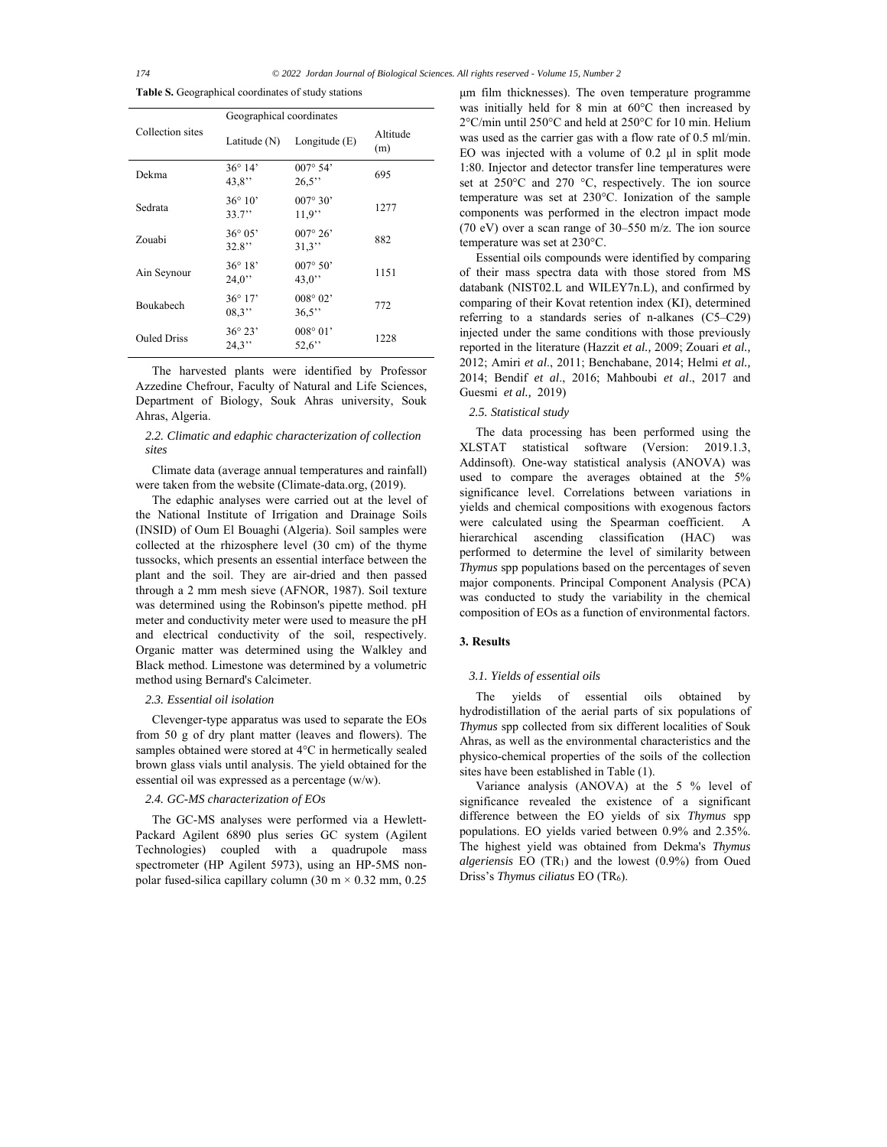**Table S.** Geographical coordinates of study stations

|                    | Geographical coordinates  |                            |                 |  |  |  |  |  |  |
|--------------------|---------------------------|----------------------------|-----------------|--|--|--|--|--|--|
| Collection sites   | Latitude $(N)$            | Longitude $(E)$            | Altitude<br>(m) |  |  |  |  |  |  |
| Dekma              | $36^{\circ} 14'$<br>43.8" | 007°54'<br>26.5"           | 695             |  |  |  |  |  |  |
| Sedrata            | $36^{\circ} 10'$<br>33.7" | $007^{\circ} 30'$<br>11.9" | 1277            |  |  |  |  |  |  |
| Zouabi             | $36^{\circ} 05'$<br>32.8" | $007^{\circ} 26'$<br>31.3" | 882             |  |  |  |  |  |  |
| Ain Seynour        | $36^{\circ} 18'$<br>24.0" | $007^{\circ} 50'$<br>43.0" | 1151            |  |  |  |  |  |  |
| Boukabech          | $36^{\circ} 17'$<br>08.3" | $008^{\circ} 02'$<br>36.5" | 772             |  |  |  |  |  |  |
| <b>Ouled Driss</b> | $36^{\circ} 23'$<br>24.3" | $008^{\circ} 01'$<br>52.6" | 1228            |  |  |  |  |  |  |

The harvested plants were identified by Professor Azzedine Chefrour, Faculty of Natural and Life Sciences, Department of Biology, Souk Ahras university, Souk Ahras, Algeria.

# *2.2. Climatic and edaphic characterization of collection sites*

Climate data (average annual temperatures and rainfall) were taken from the website (Climate-data.org, (2019).

The edaphic analyses were carried out at the level of the National Institute of Irrigation and Drainage Soils (INSID) of Oum El Bouaghi (Algeria). Soil samples were collected at the rhizosphere level (30 cm) of the thyme tussocks, which presents an essential interface between the plant and the soil. They are air-dried and then passed through a 2 mm mesh sieve (AFNOR, 1987). Soil texture was determined using the Robinson's pipette method. pH meter and conductivity meter were used to measure the pH and electrical conductivity of the soil, respectively. Organic matter was determined using the Walkley and Black method. Limestone was determined by a volumetric method using Bernard's Calcimeter.

# *2.3. Essential oil isolation*

Clevenger-type apparatus was used to separate the EOs from 50 g of dry plant matter (leaves and flowers). The samples obtained were stored at 4°C in hermetically sealed brown glass vials until analysis. The yield obtained for the essential oil was expressed as a percentage (w/w).

#### *2.4. GC-MS characterization of EOs*

The GC-MS analyses were performed via a Hewlett-Packard Agilent 6890 plus series GC system (Agilent Technologies) coupled with a quadrupole mass spectrometer (HP Agilent 5973), using an HP-5MS nonpolar fused-silica capillary column  $(30 \text{ m} \times 0.32 \text{ mm}, 0.25)$  μm film thicknesses). The oven temperature programme was initially held for 8 min at 60°C then increased by 2°C/min until 250°C and held at 250°C for 10 min. Helium was used as the carrier gas with a flow rate of 0.5 ml/min. EO was injected with a volume of 0.2 μl in split mode 1:80. Injector and detector transfer line temperatures were set at 250°C and 270 °C, respectively. The ion source temperature was set at 230°C. Ionization of the sample components was performed in the electron impact mode (70 eV) over a scan range of 30–550 m/z. The ion source temperature was set at 230°C.

Essential oils compounds were identified by comparing of their mass spectra data with those stored from MS databank (NIST02.L and WILEY7n.L), and confirmed by comparing of their Kovat retention index (KI), determined referring to a standards series of n-alkanes (C5–C29) injected under the same conditions with those previously reported in the literature (Hazzit *et al.,* 2009; Zouari *et al.,* 2012; Amiri *et al*., 2011; Benchabane, 2014; Helmi *et al.,* 2014; Bendif *et al*., 2016; Mahboubi *et al*., 2017 and Guesmi *et al.,* 2019)

### *2.5. Statistical study*

The data processing has been performed using the XLSTAT statistical software (Version: 2019.1.3, Addinsoft). One-way statistical analysis (ANOVA) was used to compare the averages obtained at the 5% significance level. Correlations between variations in yields and chemical compositions with exogenous factors were calculated using the Spearman coefficient. A hierarchical ascending classification (HAC) was performed to determine the level of similarity between *Thymus* spp populations based on the percentages of seven major components. Principal Component Analysis (PCA) was conducted to study the variability in the chemical composition of EOs as a function of environmental factors.

# **3. Results**

#### *3.1. Yields of essential oils*

The yields of essential oils obtained by hydrodistillation of the aerial parts of six populations of *Thymus* spp collected from six different localities of Souk Ahras, as well as the environmental characteristics and the physico-chemical properties of the soils of the collection sites have been established in Table (1).

Variance analysis (ANOVA) at the 5 % level of significance revealed the existence of a significant difference between the EO yields of six *Thymus* spp populations. EO yields varied between 0.9% and 2.35%. The highest yield was obtained from Dekma's *Thymus algeriensis* EO (TR1) and the lowest (0.9%) from Oued Driss's *Thymus ciliatus* EO (TR6).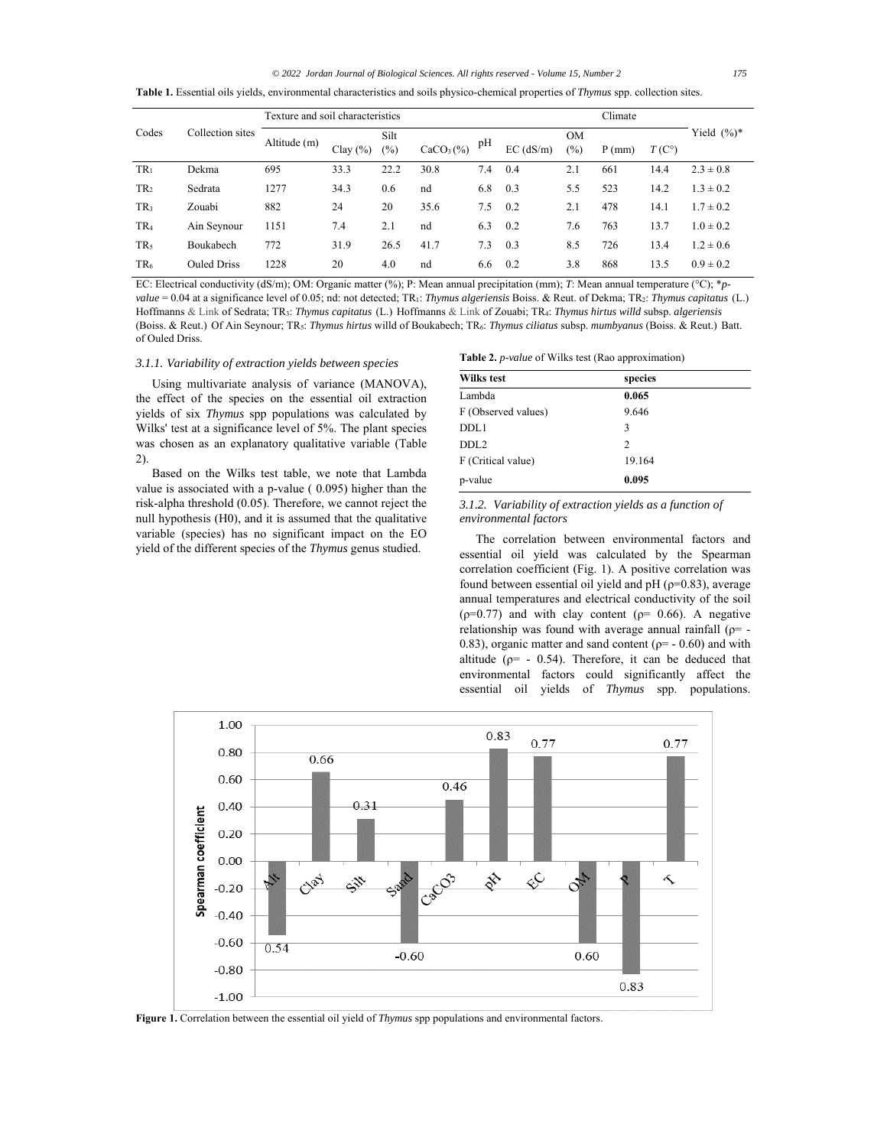#### *© 2022 Jordan Journal of Biological Sciences. All rights reserved - Volume 15, Number 2 175*

**Table 1.** Essential oils yields, environmental characteristics and soils physico-chemical properties of *Thymus* spp. collection sites.

|                 | Collection sites   | Texture and soil characteristics |              |                |             |     |             |                  | Climate  |                |                |
|-----------------|--------------------|----------------------------------|--------------|----------------|-------------|-----|-------------|------------------|----------|----------------|----------------|
| Codes           |                    | Altitude (m)                     | Clay $(\% )$ | Silt<br>$(\%)$ | $CaCO3(\%)$ | pH  | $EC$ (dS/m) | <b>OM</b><br>(%) | $P$ (mm) | $T(C^{\circ})$ | Yield $(\%)^*$ |
| TR <sub>1</sub> | Dekma              | 695                              | 33.3         | 22.2           | 30.8        | 7.4 | 0.4         | 2.1              | 661      | 14.4           | $2.3 \pm 0.8$  |
| TR <sub>2</sub> | Sedrata            | 1277                             | 34.3         | 0.6            | nd          | 6.8 | 0.3         | 5.5              | 523      | 14.2           | $1.3 \pm 0.2$  |
| TR <sub>3</sub> | Zouabi             | 882                              | 24           | 20             | 35.6        | 7.5 | 0.2         | 2.1              | 478      | 14.1           | $1.7 \pm 0.2$  |
| TR <sub>4</sub> | Ain Seynour        | 1151                             | 7.4          | 2.1            | nd          | 6.3 | 0.2         | 7.6              | 763      | 13.7           | $1.0 \pm 0.2$  |
| TR <sub>5</sub> | Boukabech          | 772                              | 31.9         | 26.5           | 41.7        | 7.3 | 0.3         | 8.5              | 726      | 13.4           | $1.2 \pm 0.6$  |
| TR <sub>6</sub> | <b>Ouled Driss</b> | 1228                             | 20           | 4.0            | nd          | 6.6 | 0.2         | 3.8              | 868      | 13.5           | $0.9 \pm 0.2$  |

EC: Electrical conductivity (dS/m); OM: Organic matter (%); P: Mean annual precipitation (mm); *T*: Mean annual temperature (°C); \**pvalue* = 0.04 at a significance level of 0.05; nd: not detected; TR<sub>1</sub>: *Thymus algeriensis* Boiss. & Reut. of Dekma; TR<sub>2</sub>: *Thymus capitatus* (L.) Hoffmanns & Link of Sedrata; TR3: *Thymus capitatus* (L.) Hoffmanns & Link of Zouabi; TR4: *Thymus hirtus willd* subsp. *algeriensis* (Boiss. & Reut.) Of Ain Seynour; TR5: *Thymus hirtus* willd of Boukabech; TR6: *Thymus ciliatus* subsp. *mumbyanus* (Boiss. & Reut.) Batt. of Ouled Driss.

#### *3.1.1. Variability of extraction yields between species*

Using multivariate analysis of variance (MANOVA), the effect of the species on the essential oil extraction yields of six *Thymus* spp populations was calculated by Wilks' test at a significance level of 5%. The plant species was chosen as an explanatory qualitative variable (Table 2).

Based on the Wilks test table, we note that Lambda value is associated with a p-value ( 0.095) higher than the risk-alpha threshold (0.05). Therefore, we cannot reject the null hypothesis (H0), and it is assumed that the qualitative variable (species) has no significant impact on the EO yield of the different species of the *Thymus* genus studied.

| <b>Table 2.</b> <i>p</i> -value of Wilks test (Rao approximation) |
|-------------------------------------------------------------------|
|-------------------------------------------------------------------|

| <b>Wilks test</b>   | species |  |  |  |  |
|---------------------|---------|--|--|--|--|
| Lambda              | 0.065   |  |  |  |  |
| F (Observed values) | 9.646   |  |  |  |  |
| DDL1                | 3       |  |  |  |  |
| DDL <sub>2</sub>    | 2       |  |  |  |  |
| F (Critical value)  | 19.164  |  |  |  |  |
| p-value             | 0.095   |  |  |  |  |

*3.1.2. Variability of extraction yields as a function of environmental factors* 

The correlation between environmental factors and essential oil yield was calculated by the Spearman correlation coefficient (Fig. 1). A positive correlation was found between essential oil yield and  $pH (p=0.83)$ , average annual temperatures and electrical conductivity of the soil  $(p=0.77)$  and with clay content  $(p= 0.66)$ . A negative relationship was found with average annual rainfall ( $\rho$ = -0.83), organic matter and sand content ( $p= -0.60$ ) and with altitude ( $p= -0.54$ ). Therefore, it can be deduced that environmental factors could significantly affect the essential oil yields of *Thymus* spp. populations.



**Figure 1.** Correlation between the essential oil yield of *Thymus* spp populations and environmental factors.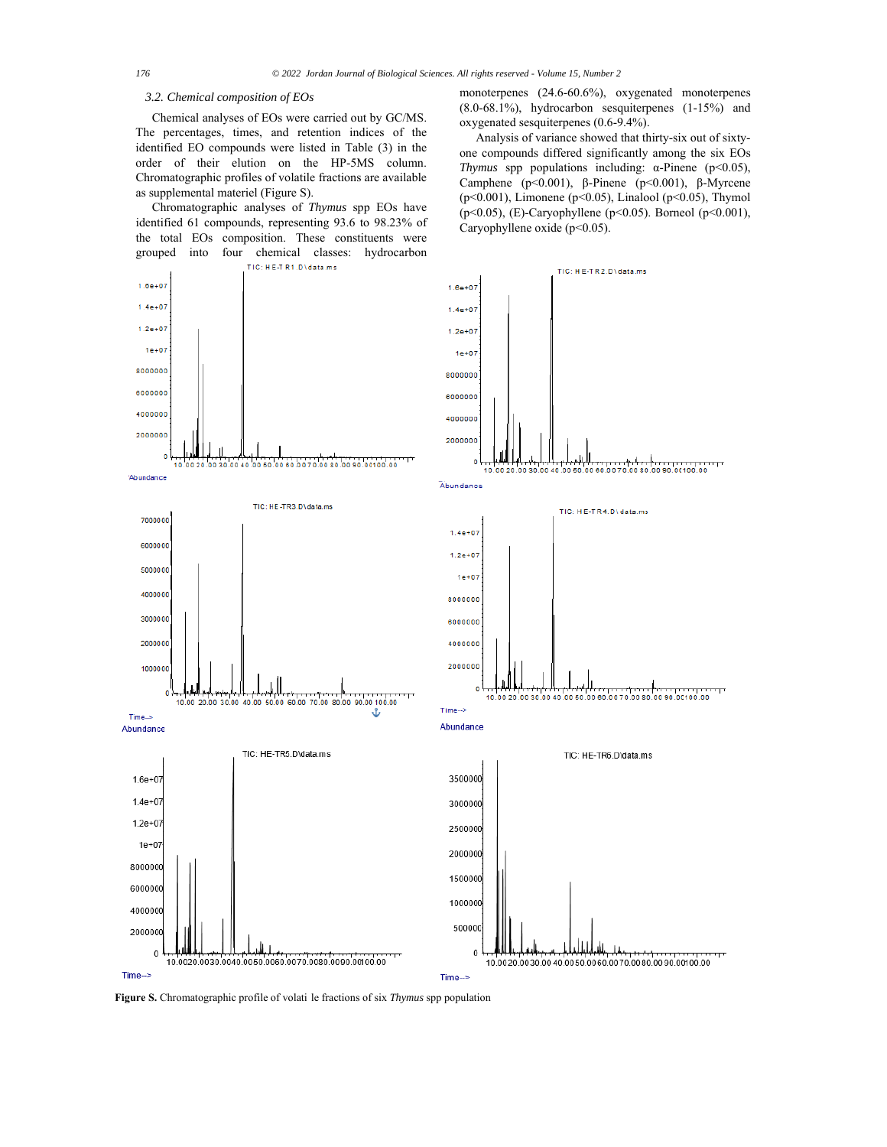#### *3.2. Chemical composition of EOs*

Chemical analyses of EOs were carried out by GC/MS. The percentages, times, and retention indices of the identified EO compounds were listed in Table (3) in the order of their elution on the HP-5MS column. Chromatographic profiles of volatile fractions are available as supplemental materiel (Figure S).

Chromatographic analyses of *Thymus* spp EOs have identified 61 compounds, representing 93.6 to 98.23% of the total EOs composition. These constituents were grouped into four chemical classes: hydrocarbon monoterpenes (24.6-60.6%), oxygenated monoterpenes (8.0-68.1%), hydrocarbon sesquiterpenes (1-15%) and oxygenated sesquiterpenes (0.6-9.4%).

Analysis of variance showed that thirty-six out of sixtyone compounds differed significantly among the six EOs *Thymus* spp populations including: α-Pinene (p<0.05), Camphene (p<0.001), β-Pinene (p<0.001), β-Myrcene (p<0.001), Limonene (p<0.05), Linalool (p<0.05), Thymol (p<0.05), (E)-Caryophyllene (p<0.05). Borneol (p<0.001), Caryophyllene oxide (p<0.05).



**Figure S.** Chromatographic profile of volati le fractions of six *Thymus* spp population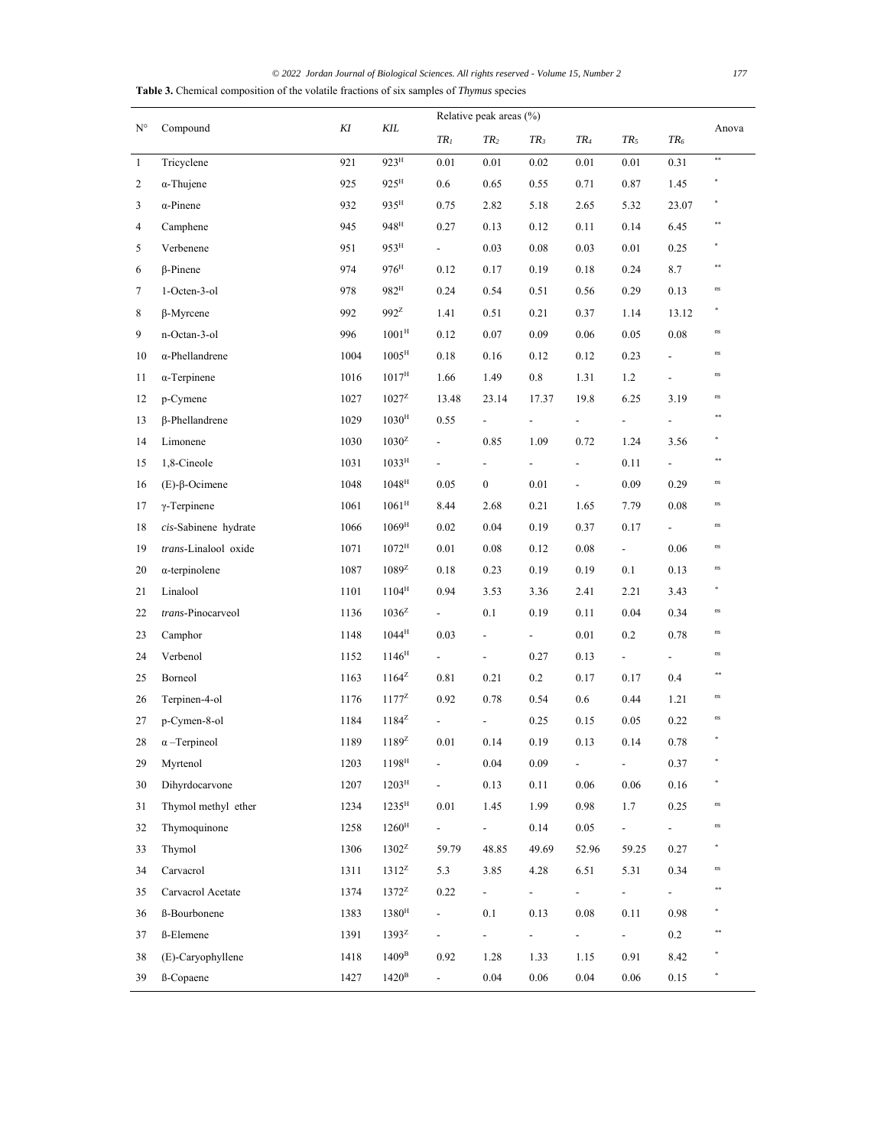*© 2022 Jordan Journal of Biological Sciences. All rights reserved - Volume 15, Number 2 177* **Table 3.** Chemical composition of the volatile fractions of six samples of *Thymus* species

| $N^{\circ}$  | Compound              | KI   | KIL                 | Relative peak areas (%)   |                            |               |                          |                            |                          |             |
|--------------|-----------------------|------|---------------------|---------------------------|----------------------------|---------------|--------------------------|----------------------------|--------------------------|-------------|
|              |                       |      |                     | $TR_I$                    | TR <sub>2</sub>            | $TR_3$        | $TR_4$                   | $TR_5$                     | $TR_6$                   | Anova       |
| $\mathbf{1}$ | Tricyclene            | 921  | 923 <sup>H</sup>    | 0.01                      | 0.01                       | 0.02          | 0.01                     | 0.01                       | 0.31                     | $\ast\ast$  |
| 2            | $\alpha$ -Thujene     | 925  | $925^{\text{H}}$    | 0.6                       | 0.65                       | 0.55          | 0.71                     | 0.87                       | 1.45                     |             |
| 3            | $\alpha$ -Pinene      | 932  | 935 <sup>H</sup>    | 0.75                      | 2.82                       | 5.18          | 2.65                     | 5.32                       | 23.07                    | $\ast$      |
| 4            | Camphene              | 945  | $948^{\mathrm{H}}$  | 0.27                      | 0.13                       | 0.12          | 0.11                     | 0.14                       | 6.45                     | **          |
| 5            | Verbenene             | 951  | 953 <sup>H</sup>    | $\sim$                    | 0.03                       | 0.08          | 0.03                     | 0.01                       | 0.25                     | *           |
| 6            | $\beta$ -Pinene       | 974  | $976^{\text{H}}$    | 0.12                      | 0.17                       | 0.19          | 0.18                     | 0.24                       | 8.7                      | $\pm\pm$    |
| 7            | 1-Octen-3-ol          | 978  | 982 <sup>H</sup>    | 0.24                      | 0.54                       | 0.51          | 0.56                     | 0.29                       | 0.13                     | ns          |
| 8            | $\beta$ -Myrcene      | 992  | $992^z$             | 1.41                      | 0.51                       | 0.21          | 0.37                     | 1.14                       | 13.12                    | $\ast$      |
| 9            | n-Octan-3-ol          | 996  | $1001^{\mathrm{H}}$ | 0.12                      | $0.07\,$                   | 0.09          | 0.06                     | 0.05                       | 0.08                     | ns          |
| 10           | α-Phellandrene        | 1004 | $1005^{\text{H}}$   | 0.18                      | 0.16                       | 0.12          | 0.12                     | 0.23                       | $\blacksquare$           | ns          |
| 11           | $\alpha$ -Terpinene   | 1016 | $1017^{\text{H}}$   | 1.66                      | 1.49                       | 0.8           | 1.31                     | 1.2                        | $\overline{\phantom{a}}$ | ns          |
| 12           | p-Cymene              | 1027 | $1027^z$            | 13.48                     | 23.14                      | 17.37         | 19.8                     | 6.25                       | 3.19                     | ns          |
| 13           | $\beta$ -Phellandrene | 1029 | $1030^{\rm H}$      | 0.55                      | $\frac{1}{2}$              | ÷,            | $\frac{1}{2}$            | $\overline{\phantom{a}}$   | $\overline{\phantom{a}}$ | **          |
| 14           | Limonene              | 1030 | $1030^2$            | $\overline{\phantom{0}}$  | 0.85                       | 1.09          | 0.72                     | 1.24                       | 3.56                     | $\ast$      |
| 15           | 1,8-Cineole           | 1031 | $1033^{\mathrm{H}}$ | $\overline{\phantom{0}}$  | $\frac{1}{2}$              | $\frac{1}{2}$ | $\overline{\phantom{0}}$ | 0.11                       | $\overline{a}$           | $**$        |
| 16           | $(E)-\beta$ -Ocimene  | 1048 | $1048^{\mathrm{H}}$ | 0.05                      | $\boldsymbol{0}$           | 0.01          | $\overline{a}$           | 0.09                       | 0.29                     | ns          |
| 17           | $\gamma$ -Terpinene   | 1061 | $1061^{\rm H}$      | 8.44                      | 2.68                       | 0.21          | 1.65                     | 7.79                       | 0.08                     | ns          |
| 18           | cis-Sabinene hydrate  | 1066 | $1069^{\rm H}$      | 0.02                      | 0.04                       | 0.19          | 0.37                     | 0.17                       | $\overline{\phantom{0}}$ | ns          |
| 19           | trans-Linalool oxide  | 1071 | $1072^{\mathrm{H}}$ | 0.01                      | $0.08\,$                   | 0.12          | 0.08                     | $\sim$                     | 0.06                     | $\sqrt{n}S$ |
| 20           | $\alpha$ -terpinolene | 1087 | $1089^z$            | 0.18                      | 0.23                       | 0.19          | 0.19                     | 0.1                        | 0.13                     | $\sqrt{n}S$ |
| 21           | Linalool              | 1101 | $1104^{\rm H}$      | 0.94                      | 3.53                       | 3.36          | 2.41                     | 2.21                       | 3.43                     | ×.          |
| 22           | trans-Pinocarveol     | 1136 | $1036^2$            | $\overline{\phantom{a}}$  | 0.1                        | 0.19          | 0.11                     | 0.04                       | 0.34                     | ns          |
| 23           | Camphor               | 1148 | $1044^{\rm H}$      | 0.03                      | $\overline{\phantom{0}}$   | $\sim$        | 0.01                     | 0.2                        | 0.78                     | ns          |
| 24           | Verbenol              | 1152 | $1146^{\text{H}}$   | $\overline{\phantom{a}}$  | $\blacksquare$             | 0.27          | 0.13                     | $\overline{\phantom{0}}$   | $\overline{a}$           | ns          |
| 25           | Borneol               | 1163 | $1164^2$            | 0.81                      | 0.21                       | 0.2           | 0.17                     | 0.17                       | 0.4                      | $**$        |
| 26           | Terpinen-4-ol         | 1176 | $1177^{\rm Z}$      | 0.92                      | 0.78                       | 0.54          | 0.6                      | 0.44                       | 1.21                     | ns          |
| 27           | p-Cymen-8-ol          | 1184 | $1184^2$            | $\overline{\phantom{a}}$  | $\overline{\phantom{a}}$   | 0.25          | 0.15                     | 0.05                       | 0.22                     | ns          |
| 28           | $\alpha$ -Terpineol   | 1189 | $1189^z$            | 0.01                      | 0.14                       | 0.19          | 0.13                     | 0.14                       | 0.78                     | $\ast$      |
| 29           | Myrtenol              | 1203 | 1198 <sup>H</sup>   |                           | 0.04                       | 0.09          | $\overline{\phantom{0}}$ | $\overline{\phantom{a}}$   | 0.37                     |             |
| 30           | Dihyrdocarvone        | 1207 | 1203 <sup>H</sup>   | ÷.                        | 0.13                       | 0.11          | 0.06                     | 0.06                       | 0.16                     |             |
| 31           | Thymol methyl ether   | 1234 | $1235^{\mathrm{H}}$ | 0.01                      | 1.45                       | 1.99          | 0.98                     | 1.7                        | 0.25                     | $\sqrt{n}S$ |
| 32           | Thymoquinone          | 1258 | $1260^{\mathrm{H}}$ | $\mathbf{L}^{\text{max}}$ | $\omega_{\rm{max}}$        | 0.14          | 0.05                     | $\sim$                     | ÷.                       | ns          |
| 33           | Thymol                | 1306 | $1302^z$            | 59.79                     | 48.85                      | 49.69         | 52.96                    | 59.25                      | 0.27                     | *.          |
| 34           | Carvacrol             | 1311 | $1312^z$            | 5.3                       | 3.85                       | 4.28          | 6.51                     | 5.31                       | 0.34                     | ns          |
| 35           | Carvacrol Acetate     | 1374 | $1372^{\rm Z}$      | 0.22                      | $\mathcal{L}_{\text{max}}$ | $\sim$        | a in                     | $\mathcal{L}^{\text{max}}$ | $\overline{\phantom{a}}$ | **          |
| 36           | ß-Bourbonene          | 1383 | 1380 <sup>H</sup>   | $\mathbf{L}^{\text{max}}$ | 0.1                        | 0.13          | 0.08                     | 0.11                       | 0.98                     |             |
| 37           | ß-Elemene             | 1391 | $1393^{\mathrm{Z}}$ | $\sim$                    | $\sim$                     | $\sim$        | $\overline{\phantom{0}}$ | $\omega_{\rm{max}}$        | 0.2                      | $***$       |
| 38           | (E)-Caryophyllene     | 1418 | 1409 <sup>B</sup>   | 0.92                      | 1.28                       | 1.33          | 1.15                     | 0.91                       | 8.42                     |             |
| 39           | ß-Copaene             | 1427 | $1420^{\rm B}$      | $\omega_{\rm{max}}$       | 0.04                       | 0.06          | 0.04                     | 0.06                       | 0.15                     | $\ast$      |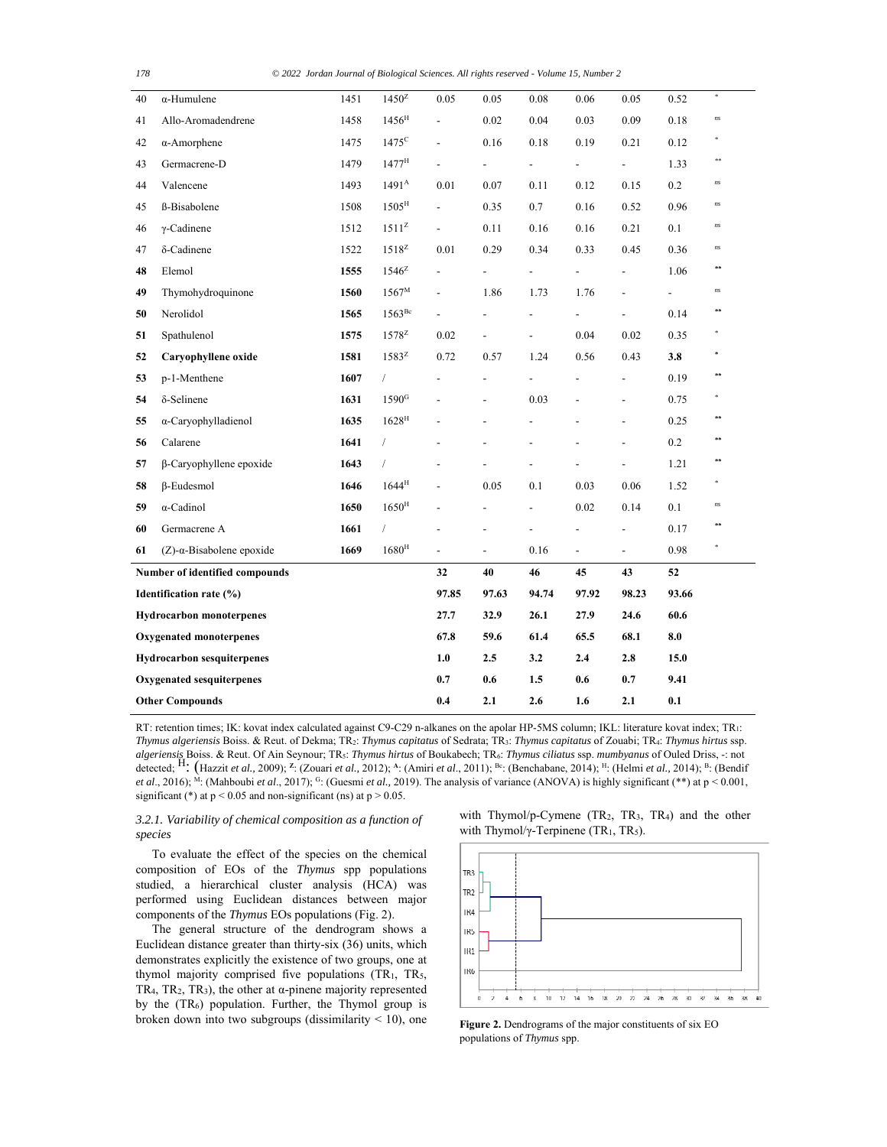| 40                              | $\alpha$ -Humulene                   | 1451  | $1450^2$            | 0.05                     | 0.05                     | 0.08                     | 0.06           | 0.05                         | 0.52           | $\ast$        |
|---------------------------------|--------------------------------------|-------|---------------------|--------------------------|--------------------------|--------------------------|----------------|------------------------------|----------------|---------------|
| 41                              | Allo-Aromadendrene                   | 1458  | 1456 <sup>H</sup>   | $\overline{\phantom{0}}$ | 0.02                     | 0.04                     | 0.03           | 0.09                         | 0.18           | ns            |
| 42                              | $\alpha$ -Amorphene                  | 1475  | $1475$ <sup>C</sup> | $\overline{\phantom{0}}$ | 0.16                     | 0.18                     | 0.19           | 0.21                         | 0.12           | $\ast$        |
| 43                              | Germacrene-D                         | 1479  | $1477^{\text{H}}$   |                          | $\overline{\phantom{a}}$ | $\overline{\phantom{a}}$ | $\overline{a}$ | $\overline{\phantom{0}}$     | 1.33           | **            |
| 44                              | Valencene                            | 1493  | $1491^{\rm A}$      | 0.01                     | 0.07                     | 0.11                     | 0.12           | 0.15                         | 0.2            | ns            |
| 45                              | ß-Bisabolene                         | 1508  | $1505^{\text{H}}$   | $\overline{\phantom{a}}$ | 0.35                     | 0.7                      | 0.16           | 0.52                         | 0.96           | ns            |
| 46                              | $\gamma$ -Cadinene                   | 1512  | $1511^z$            | $\overline{\phantom{a}}$ | 0.11                     | 0.16                     | 0.16           | 0.21                         | 0.1            | ns            |
| 47                              | δ-Cadinene                           | 1522  | $1518^2$            | 0.01                     | 0.29                     | 0.34                     | 0.33           | 0.45                         | 0.36           | ns            |
| 48                              | Elemol                               | 1555  | $1546^2$            |                          |                          | $\overline{\phantom{0}}$ | $\overline{a}$ | $\overline{a}$               | 1.06           | 零字            |
| 49                              | Thymohydroquinone                    | 1560  | 1567 <sup>M</sup>   | ÷,                       | 1.86                     | 1.73                     | 1.76           | $\centerdot$                 | $\overline{a}$ | ns            |
| 50                              | Nerolidol                            | 1565  | $1563^{\rm Bc}$     |                          |                          | $\overline{a}$           | $\overline{a}$ | $\overline{a}$               | 0.14           | \$1           |
| 51                              | Spathulenol                          | 1575  | $1578^2$            | 0.02                     | $\overline{\phantom{a}}$ | $\overline{\phantom{0}}$ | 0.04           | 0.02                         | 0.35           |               |
| 52                              | Caryophyllene oxide                  | 1581  | $1583^z$            | 0.72                     | 0.57                     | 1.24                     | 0.56           | 0.43                         | 3.8            | \$            |
| 53                              | p-1-Menthene                         | 1607  | $\sqrt{ }$          | $\overline{a}$           | $\overline{a}$           | $\overline{a}$           |                | $\overline{a}$               | 0.19           | 零字            |
| 54                              | δ-Selinene                           | 1631  | 1590 <sup>G</sup>   |                          | $\overline{\phantom{a}}$ | 0.03                     |                | $\qquad \qquad \blacksquare$ | 0.75           |               |
| 55                              | α-Caryophylladienol                  | 1635  | $1628^{\mathrm{H}}$ |                          |                          |                          |                | L                            | 0.25           | **            |
| 56                              | Calarene                             | 1641  | $\sqrt{2}$          |                          |                          |                          |                | $\qquad \qquad \blacksquare$ | 0.2            | 李永            |
| 57                              | β-Caryophyllene epoxide              | 1643  | $\sqrt{2}$          |                          |                          |                          |                | $\overline{a}$               | 1.21           | 容字            |
| 58                              | $\beta$ -Eudesmol                    | 1646  | $1644^{\rm H}$      |                          | 0.05                     | 0.1                      | 0.03           | 0.06                         | 1.52           |               |
| 59                              | $\alpha$ -Cadinol                    | 1650  | $1650^{\text{H}}$   |                          |                          | $\overline{\phantom{0}}$ | 0.02           | 0.14                         | 0.1            | ns            |
| 60                              | Germacrene A                         | 1661  | $\sqrt{2}$          |                          |                          | $\overline{\phantom{0}}$ |                | $\centerdot$                 | 0.17           | 零字            |
| 61                              | $(Z)$ - $\alpha$ -Bisabolene epoxide | 1669  | $1680^{\rm H}$      | $\blacksquare$           | $\overline{\phantom{a}}$ | 0.16                     | $\frac{1}{2}$  | $\blacksquare$               | 0.98           | $\frac{1}{2}$ |
| Number of identified compounds  |                                      |       | 32                  | 40                       | 46                       | 45                       | 43             | 52                           |                |               |
| Identification rate (%)         |                                      | 97.85 | 97.63               | 94.74                    | 97.92                    | 98.23                    | 93.66          |                              |                |               |
| <b>Hydrocarbon monoterpenes</b> |                                      |       | 27.7                | 32.9                     | 26.1                     | 27.9                     | 24.6           | 60.6                         |                |               |
| <b>Oxygenated monoterpenes</b>  |                                      |       | 67.8                | 59.6                     | 61.4                     | 65.5                     | 68.1           | 8.0                          |                |               |
|                                 | <b>Hydrocarbon sesquiterpenes</b>    |       |                     | 1.0                      | 2.5                      | 3.2                      | 2.4            | 2.8                          | 15.0           |               |
|                                 | Oxygenated sesquiterpenes            |       |                     |                          | 0.6                      | 1.5                      | 0.6            | 0.7                          | 9.41           |               |
|                                 | <b>Other Compounds</b>               |       |                     |                          | 2.1                      | 2.6                      | 1.6            | 2.1                          | 0.1            |               |

RT: retention times; IK: kovat index calculated against C9-C29 n-alkanes on the apolar HP-5MS column; IKL: literature kovat index; TR1: *Thymus algeriensis* Boiss. & Reut. of Dekma; TR2: *Thymus capitatus* of Sedrata; TR3: *Thymus capitatus* of Zouabi; TR4: *Thymus hirtus* ssp. *algeriensis* Boiss. & Reut. Of Ain Seynour; TR5: *Thymus hirtus* of Boukabech; TR6: *Thymus ciliatus* ssp. *mumbyanus* of Ouled Driss, -: not detected; H: (Hazzit *et al.,* 2009); **<sup>Z</sup>**: (Zouari *et al.,* 2012); **<sup>A</sup>**: (Amiri *et al*., 2011); Bc: (Benchabane, 2014); H: (Helmi *et al.,* 2014); B: (Bendif *et al.*, 2016); <sup>M</sup>: (Mahboubi *et al.*, 2017); <sup>G</sup>: (Guesmi *et al.*, 2019). The analysis of variance (ANOVA) is highly significant (\*\*) at p < 0.001, significant (\*) at  $p < 0.05$  and non-significant (ns) at  $p > 0.05$ .

# *3.2.1. Variability of chemical composition as a function of species*

To evaluate the effect of the species on the chemical composition of EOs of the *Thymus* spp populations studied, a hierarchical cluster analysis (HCA) was performed using Euclidean distances between major components of the *Thymus* EOs populations (Fig. 2).

The general structure of the dendrogram shows a Euclidean distance greater than thirty-six (36) units, which demonstrates explicitly the existence of two groups, one at thymol majority comprised five populations (TR1, TR5, TR<sub>4</sub>, TR<sub>2</sub>, TR<sub>3</sub>), the other at  $\alpha$ -pinene majority represented by the (TR6) population. Further, the Thymol group is broken down into two subgroups (dissimilarity < 10), one with Thymol/p-Cymene  $(TR_2, TR_3, TR_4)$  and the other with Thymol/ $\gamma$ -Terpinene (TR<sub>1</sub>, TR<sub>5</sub>).



**Figure 2.** Dendrograms of the major constituents of six EO populations of *Thymus* spp.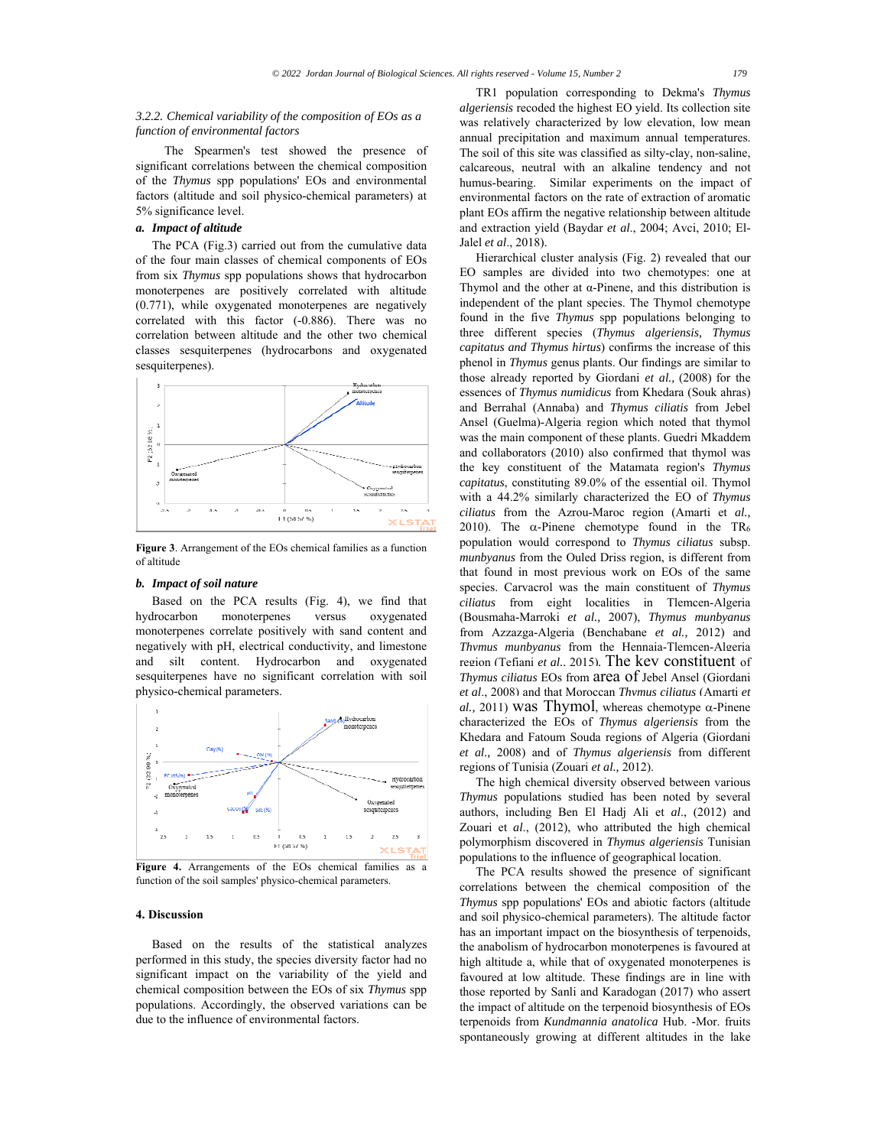# *3.2.2. Chemical variability of the composition of EOs as a function of environmental factors*

 The Spearmen's test showed the presence of significant correlations between the chemical composition of the *Thymus* spp populations' EOs and environmental factors (altitude and soil physico-chemical parameters) at 5% significance level.

# *a. Impact of altitude*

The PCA (Fig.3) carried out from the cumulative data of the four main classes of chemical components of EOs from six *Thymus* spp populations shows that hydrocarbon monoterpenes are positively correlated with altitude (0.771), while oxygenated monoterpenes are negatively correlated with this factor (-0.886). There was no correlation between altitude and the other two chemical classes sesquiterpenes (hydrocarbons and oxygenated sesquiterpenes).



**Figure 3**. Arrangement of the EOs chemical families as a function of altitude

### *b. Impact of soil nature*

Based on the PCA results (Fig. 4), we find that hydrocarbon monoterpenes versus oxygenated monoterpenes correlate positively with sand content and negatively with pH, electrical conductivity, and limestone and silt content. Hydrocarbon and oxygenated sesquiterpenes have no significant correlation with soil physico-chemical parameters.



**Figure 4.** Arrangements of the EOs chemical families as a function of the soil samples' physico-chemical parameters.

# **4. Discussion**

Based on the results of the statistical analyzes performed in this study, the species diversity factor had no significant impact on the variability of the yield and chemical composition between the EOs of six *Thymus* spp populations. Accordingly, the observed variations can be due to the influence of environmental factors.

TR1 population corresponding to Dekma's *Thymus algeriensis* recoded the highest EO yield. Its collection site was relatively characterized by low elevation, low mean annual precipitation and maximum annual temperatures. The soil of this site was classified as silty-clay, non-saline, calcareous, neutral with an alkaline tendency and not humus-bearing. Similar experiments on the impact of environmental factors on the rate of extraction of aromatic plant EOs affirm the negative relationship between altitude and extraction yield (Baydar *et al*., 2004; Avci, 2010; El-Jalel *et al*., 2018).

Hierarchical cluster analysis (Fig. 2) revealed that our EO samples are divided into two chemotypes: one at Thymol and the other at α-Pinene, and this distribution is independent of the plant species. The Thymol chemotype found in the five *Thymus* spp populations belonging to three different species (*Thymus algeriensis, Thymus capitatus and Thymus hirtus*) confirms the increase of this phenol in *Thymus* genus plants. Our findings are similar to those already reported by Giordani *et al.,* (2008) for the essences of *Thymus numidicus* from Khedara (Souk ahras) and Berrahal (Annaba) and *Thymus ciliatis* from Jebel Ansel (Guelma)-Algeria region which noted that thymol was the main component of these plants. Guedri Mkaddem and collaborators (2010) also confirmed that thymol was the key constituent of the Matamata region's *Thymus capitatus*, constituting 89.0% of the essential oil. Thymol with a 44.2% similarly characterized the EO of *Thymus ciliatus* from the Azrou-Maroc region (Amarti et *al.,* 2010). The  $\alpha$ -Pinene chemotype found in the TR<sub>6</sub> population would correspond to *Thymus ciliatus* subsp. *munbyanus* from the Ouled Driss region, is different from that found in most previous work on EOs of the same species. Carvacrol was the main constituent of *Thymus ciliatus* from eight localities in Tlemcen-Algeria (Bousmaha-Marroki *et al.,* 2007), *Thymus munbyanus* from Azzazga-Algeria (Benchabane *et al.,* 2012) and *Thymus munbyanus* from the Hennaia-Tlemcen-Algeria region (Tefiani *et al.,* 2015)*.* The key constituent of *Thymus ciliatus* EOs from area of Jebel Ansel (Giordani *et al*., 2008) and that Moroccan *Thymus ciliatus* (Amarti *et al.*, 2011) was Thymol, whereas chemotype  $\alpha$ -Pinene characterized the EOs of *Thymus algeriensis* from the Khedara and Fatoum Souda regions of Algeria (Giordani *et al.,* 2008) and of *Thymus algeriensis* from different regions of Tunisia (Zouari *et al.,* 2012).

The high chemical diversity observed between various *Thymus* populations studied has been noted by several authors, including Ben El Hadj Ali et *al*., (2012) and Zouari et *al*., (2012), who attributed the high chemical polymorphism discovered in *Thymus algeriensis* Tunisian populations to the influence of geographical location.

The PCA results showed the presence of significant correlations between the chemical composition of the *Thymus* spp populations' EOs and abiotic factors (altitude and soil physico-chemical parameters). The altitude factor has an important impact on the biosynthesis of terpenoids, the anabolism of hydrocarbon monoterpenes is favoured at high altitude a, while that of oxygenated monoterpenes is favoured at low altitude. These findings are in line with those reported by Sanli and Karadogan (2017) who assert the impact of altitude on the terpenoid biosynthesis of EOs terpenoids from *Kundmannia anatolica* Hub. -Mor. fruits spontaneously growing at different altitudes in the lake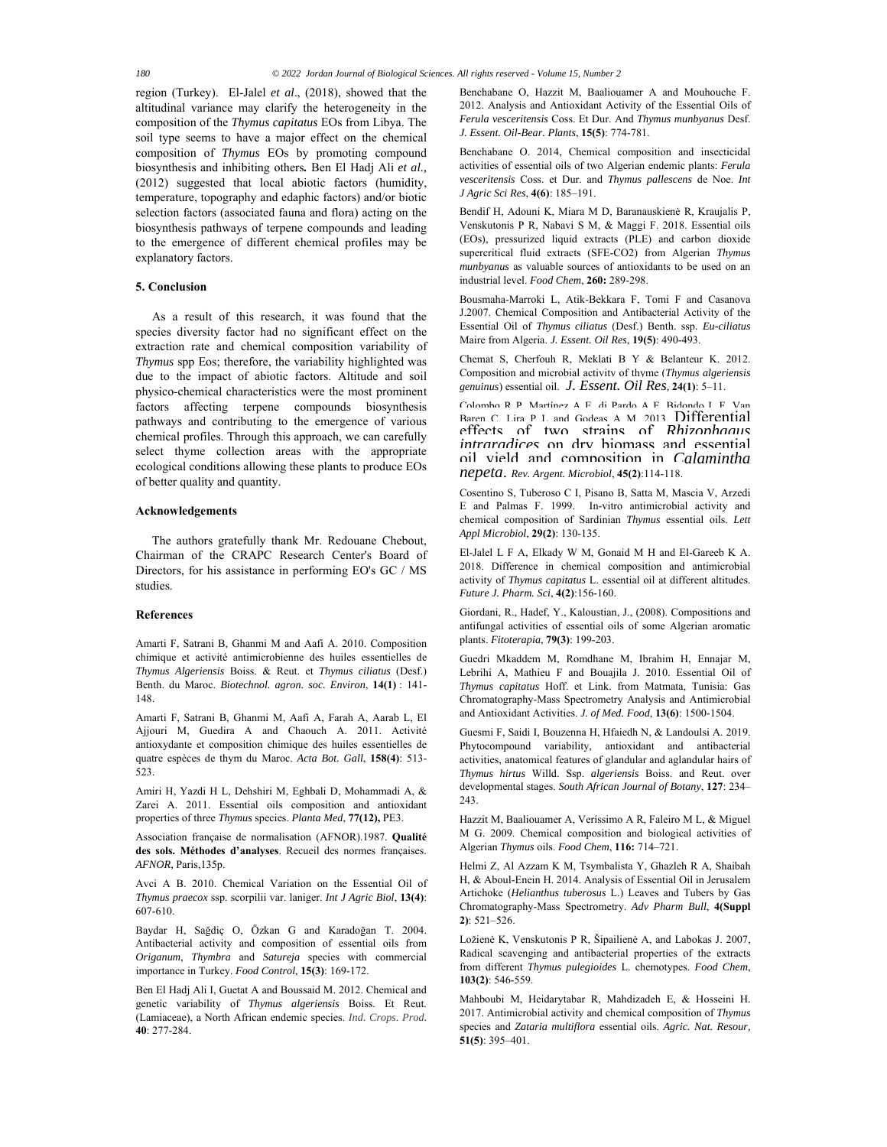region (Turkey). El-Jalel *et al*., (2018), showed that the altitudinal variance may clarify the heterogeneity in the composition of the *Thymus capitatus* EOs from Libya. The soil type seems to have a major effect on the chemical composition of *Thymus* EOs by promoting compound biosynthesis and inhibiting others*.* Ben El Hadj Ali *et al.,* (2012) suggested that local abiotic factors (humidity, temperature, topography and edaphic factors) and/or biotic selection factors (associated fauna and flora) acting on the biosynthesis pathways of terpene compounds and leading to the emergence of different chemical profiles may be explanatory factors.

# **5. Conclusion**

As a result of this research, it was found that the species diversity factor had no significant effect on the extraction rate and chemical composition variability of *Thymus* spp Eos; therefore, the variability highlighted was due to the impact of abiotic factors. Altitude and soil physico-chemical characteristics were the most prominent factors affecting terpene compounds biosynthesis pathways and contributing to the emergence of various chemical profiles. Through this approach, we can carefully select thyme collection areas with the appropriate ecological conditions allowing these plants to produce EOs of better quality and quantity.

### **Acknowledgements**

The authors gratefully thank Mr. Redouane Chebout, Chairman of the CRAPC Research Center's Board of Directors, for his assistance in performing EO's GC / MS studies.

#### **References**

Amarti F, Satrani B, Ghanmi M and Aafi A. 2010. Composition chimique et activité antimicrobienne des huiles essentielles de *Thymus Algeriensis* Boiss. & Reut. et *Thymus ciliatus* (Desf.) Benth. du Maroc. *Biotechnol. agron. soc. Environ*, **14(1)** : 141- 148.

Amarti F, Satrani B, Ghanmi M, Aafi A, Farah A, Aarab L, El Ajjouri M, Guedira A and Chaouch A. 2011. Activité antioxydante et composition chimique des huiles essentielles de quatre espèces de thym du Maroc. *Acta Bot. Gall*, **158(4)**: 513- 523.

Amiri H, Yazdi H L, Dehshiri M, Eghbali D, Mohammadi A, & Zarei A. 2011. Essential oils composition and antioxidant properties of three *Thymus* species. *Planta Med*, **77(12),** PE3.

Association française de normalisation (AFNOR).1987. **Qualité des sols. Méthodes d'analyses**. Recueil des normes françaises. *AFNOR,* Paris,135p.

Avci A B. 2010. Chemical Variation on the Essential Oil of *Thymus praecox* ssp. scorpilii var. laniger. *Int J Agric Biol*, **13(4)**: 607-610.

Baydar H, Sağdiç O, Özkan G and Karadoğan T. 2004. Antibacterial activity and composition of essential oils from *Origanum*, *Thymbra* and *Satureja* species with commercial importance in Turkey. *Food Control*, **15(3)**: 169‑172.

Ben El Hadj Ali I, Guetat A and Boussaid M. 2012. Chemical and genetic variability of *Thymus algeriensis* Boiss. Et Reut. (Lamiaceae), a North African endemic species. *Ind. Crops. Prod*. **40**: 277‑284.

Benchabane O, Hazzit M, Baaliouamer A and Mouhouche F. 2012. Analysis and Antioxidant Activity of the Essential Oils of *Ferula vesceritensis* Coss. Et Dur. And *Thymus munbyanus* Desf. *J. Essent. Oil-Bear. Plants*, **15(5)**: 774‑781.

Benchabane O. 2014, Chemical composition and insecticidal activities of essential oils of two Algerian endemic plants: *Ferula vesceritensis* Coss. et Dur. and *Thymus pallescens* de Noe. *Int J Agric Sci Res*, **4(6)**: 185–191.

Bendif H, Adouni K, Miara M D, Baranauskienė R, Kraujalis P, Venskutonis P R, Nabavi S M, & Maggi F. 2018. Essential oils (EOs), pressurized liquid extracts (PLE) and carbon dioxide supercritical fluid extracts (SFE-CO2) from Algerian *Thymus munbyanus* as valuable sources of antioxidants to be used on an industrial level. *Food Chem*, **260:** 289‑298.

Bousmaha-Marroki L, Atik-Bekkara F, Tomi F and Casanova J.2007. Chemical Composition and Antibacterial Activity of the Essential Oil of *Thymus ciliatus* (Desf.) Benth. ssp. *Eu-ciliatus* Maire from Algeria. *J. Essent. Oil Res*, **19(5)**: 490‑493.

Chemat S, Cherfouh R, Meklati B Y & Belanteur K. 2012. Composition and microbial activity of thyme (*Thymus algeriensis genuinus*) essential oil. *J. Essent. Oil Res,* **24(1)**: 5–11.

Colombo R P, Martínez A E, di Pardo A F, Bidondo L F, Van Baren C, Lira P L and Godeas A M. 2013. Differential effects of two strains of *Rhizophagus intraradices* on dry biomass and essential oil yield and composition in *Calamintha nepeta*. *Rev. Argent. Microbiol*, **45(2)**:114-118.

Cosentino S, Tuberoso C I, Pisano B, Satta M, Mascia V, Arzedi E and Palmas F. 1999. In-vitro antimicrobial activity and chemical composition of Sardinian *Thymus* essential oils. *Lett Appl Microbiol*, **29(2)**: 130‑135.

El-Jalel L F A, Elkady W M, Gonaid M H and El-Gareeb K A. 2018. Difference in chemical composition and antimicrobial activity of *Thymus capitatus* L. essential oil at different altitudes. *Future J. Pharm. Sci*, **4(2)**:156‑160.

Giordani, R., Hadef, Y., Kaloustian, J., (2008). Compositions and antifungal activities of essential oils of some Algerian aromatic plants. *Fitoterapia*, **79(3)**: 199‑203.

Guedri Mkaddem M, Romdhane M, Ibrahim H, Ennajar M, Lebrihi A, Mathieu F and Bouajila J. 2010. Essential Oil of *Thymus capitatus* Hoff. et Link. from Matmata, Tunisia: Gas Chromatography-Mass Spectrometry Analysis and Antimicrobial and Antioxidant Activities. *J. of Med. Food*, **13(6)**: 1500‑1504.

Guesmi F, Saidi I, Bouzenna H, Hfaiedh N, & Landoulsi A. 2019. Phytocompound variability, antioxidant and antibacterial activities, anatomical features of glandular and aglandular hairs of *Thymus hirtus* Willd. Ssp. *algeriensis* Boiss. and Reut. over developmental stages. *South African Journal of Botany*, **127**: 234– 243.

Hazzit M, Baaliouamer A, Veríssimo A R, Faleiro M L, & Miguel M G. 2009. Chemical composition and biological activities of Algerian *Thymus* oils. *Food Chem*, **116:** 714–721.

Helmi Z, Al Azzam K M, Tsymbalista Y, Ghazleh R A, Shaibah H, & Aboul-Enein H. 2014. Analysis of Essential Oil in Jerusalem Artichoke (*Helianthus tuberosus* L.) Leaves and Tubers by Gas Chromatography-Mass Spectrometry. *Adv Pharm Bull*, **4(Suppl 2)**: 521–526.

Ložienė K, Venskutonis P R, Šipailienė A, and Labokas J. 2007, Radical scavenging and antibacterial properties of the extracts from different *Thymus pulegioides* L. chemotypes. *Food Chem*, **103(2)**: 546-559.

Mahboubi M, Heidarytabar R, Mahdizadeh E, & Hosseini H. 2017. Antimicrobial activity and chemical composition of *Thymus* species and *Zataria multiflora* essential oils. *Agric. Nat. Resour,* **51(5)**: 395–401.